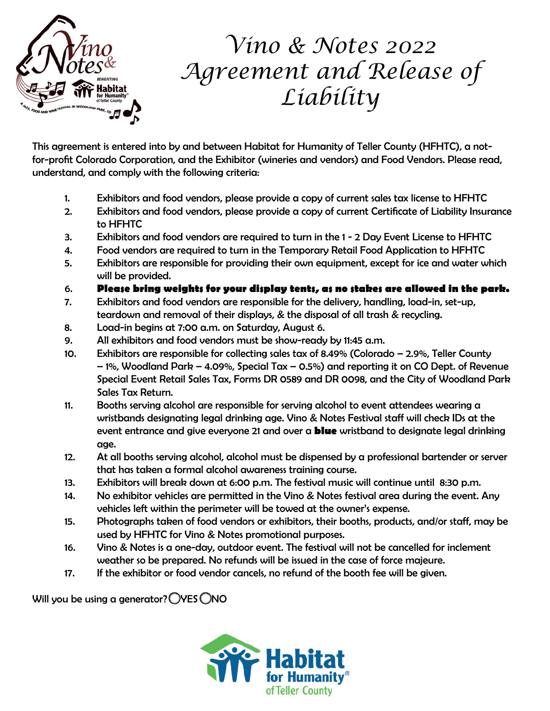

## *Vino & Notes 2022 Agreement and Release of Liability*

This agreement is entered into by and between Habitat for Humanity of Teller County (HFHTC), a notfor-profit Colorado Corporation, and the Exhibitor (wineries and vendors) and Food Vendors. Please read, understand, and comply with the following criteria:

- 1. Exhibitors and food vendors, please provide a copy of current sales tax license to HFHTC
- 2. Exhibitors and food vendors, please provide a copy of current Certificate of Liability Insurance to HFHTC
- 3. Exhibitors and food vendors are required to turn in the 1 2 Day Event License to HFHTC
- 4. Food vendors are required to turn in the Temporary Retail Food Application to HFHTC
- 5. Exhibitors are responsible for providing their own equipment, except for ice and water which will be provided.
- 6. **Please bring weights for your display tents, as no stakes are allowed in the park.**
- 7. Exhibitors and food vendors are responsible for the delivery, handling, load-in, set-up, teardown and removal of their displays, & the disposal of all trash & recycling.
- 8. Load-in begins at 7:00 a.m. on Saturday, August 6.
- 9. All exhibitors and food vendors must be show-ready by 11:45 a.m.
- 10. Exhibitors are responsible for collecting sales tax of 8.49% (Colorado 2.9%, Teller County – 1%, Woodland Park – 4.09%, Special Tax – 0.5%) and reporting it on CO Dept. of Revenue Special Event Retail Sales Tax, Forms DR 0589 and DR 0098, and the City of Woodland Park Sales Tax Return.
- 11. Booths serving alcohol are responsible for serving alcohol to event attendees wearing a wristbands designating legal drinking age. Vino & Notes Festival staff will check IDs at the event entrance and give everyone 21 and over a **blue** wristband to designate legal drinking age.
- 12. At all booths serving alcohol, alcohol must be dispensed by a professional bartender or server that has taken a formal alcohol awareness training course.
- 13. Exhibitors will break down at 6:00 p.m. The festival music will continue until 8:30 p.m.
- 14. No exhibitor vehicles are permitted in the Vino & Notes festival area during the event. Any vehicles left within the perimeter will be towed at the owner's expense.
- 15. Photographs taken of food vendors or exhibitors, their booths, products, and/or staff, may be used by HFHTC for Vino & Notes promotional purposes.
- 16. Vino & Notes is a one-day, outdoor event. The festival will not be cancelled for inclement weather so be prepared. No refunds will be issued in the case of force majeure.
- 17. If the exhibitor or food vendor cancels, no refund of the booth fee will be given.

Will you be using a generator?  $\bigcirc$ YES  $\bigcirc$ NO